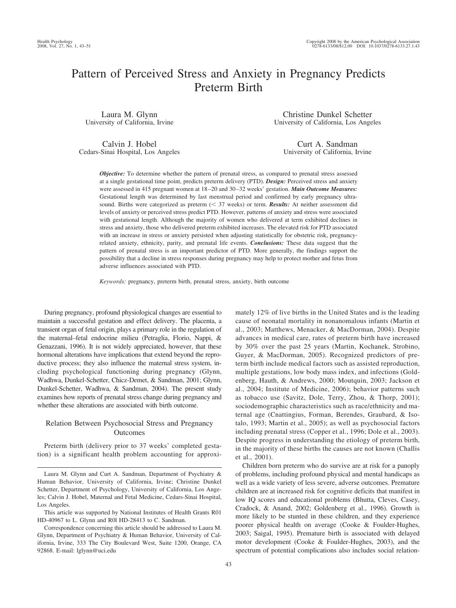# Pattern of Perceived Stress and Anxiety in Pregnancy Predicts Preterm Birth

Laura M. Glynn University of California, Irvine

Christine Dunkel Schetter University of California, Los Angeles

Calvin J. Hobel Cedars-Sinai Hospital, Los Angeles

Curt A. Sandman University of California, Irvine

*Objective:* To determine whether the pattern of prenatal stress, as compared to prenatal stress assessed at a single gestational time point, predicts preterm delivery (PTD). *Design:* Perceived stress and anxiety were assessed in 415 pregnant women at 18 –20 and 30 –32 weeks' gestation. *Main Outcome Measures:* Gestational length was determined by last menstrual period and confirmed by early pregnancy ultrasound. Births were categorized as preterm (< 37 weeks) or term. *Results:* At neither assessment did levels of anxiety or perceived stress predict PTD. However, patterns of anxiety and stress were associated with gestational length. Although the majority of women who delivered at term exhibited declines in stress and anxiety, those who delivered preterm exhibited increases. The elevated risk for PTD associated with an increase in stress or anxiety persisted when adjusting statistically for obstetric risk, pregnancyrelated anxiety, ethnicity, parity, and prenatal life events. *Conclusions:* These data suggest that the pattern of prenatal stress is an important predictor of PTD. More generally, the findings support the possibility that a decline in stress responses during pregnancy may help to protect mother and fetus from adverse influences associated with PTD.

*Keywords:* pregnancy, preterm birth, prenatal stress, anxiety, birth outcome

During pregnancy, profound physiological changes are essential to maintain a successful gestation and effect delivery. The placenta, a transient organ of fetal origin, plays a primary role in the regulation of the maternal–fetal endocrine milieu (Petraglia, Florio, Nappi, & Genazzani, 1996). It is not widely appreciated, however, that these hormonal alterations have implications that extend beyond the reproductive process; they also influence the maternal stress system, including psychological functioning during pregnancy (Glynn, Wadhwa, Dunkel-Schetter, Chicz-Demet, & Sandman, 2001; Glynn, Dunkel-Schetter, Wadhwa, & Sandman, 2004). The present study examines how reports of prenatal stress change during pregnancy and whether these alterations are associated with birth outcome.

# Relation Between Psychosocial Stress and Pregnancy Outcomes

Preterm birth (delivery prior to 37 weeks' completed gestation) is a significant health problem accounting for approximately 12% of live births in the United States and is the leading cause of neonatal mortality in nonanomalous infants (Martin et al., 2003; Matthews, Menacker, & MacDorman, 2004). Despite advances in medical care, rates of preterm birth have increased by 30% over the past 25 years (Martin, Kochanek, Strobino, Guyer, & MacDorman, 2005). Recognized predictors of preterm birth include medical factors such as assisted reproduction, multiple gestations, low body mass index, and infections (Goldenberg, Hauth, & Andrews, 2000; Moutquin, 2003; Jackson et al., 2004; Institute of Medicine, 2006); behavior patterns such as tobacco use (Savitz, Dole, Terry, Zhou, & Thorp, 2001); sociodemographic characteristics such as race/ethnicity and maternal age (Cnattingius, Forman, Berendes, Graubard, & Isotalo, 1993; Martin et al., 2005); as well as psychosocial factors including prenatal stress (Copper et al., 1996; Dole et al., 2003). Despite progress in understanding the etiology of preterm birth, in the majority of these births the causes are not known (Challis et al., 2001).

Children born preterm who do survive are at risk for a panoply of problems, including profound physical and mental handicaps as well as a wide variety of less severe, adverse outcomes. Premature children are at increased risk for cognitive deficits that manifest in low IQ scores and educational problems (Bhutta, Cleves, Casey, Cradock, & Anand, 2002; Goldenberg et al., 1996). Growth is more likely to be stunted in these children, and they experience poorer physical health on average (Cooke & Foulder-Hughes, 2003; Saigal, 1995). Premature birth is associated with delayed motor development (Cooke & Foulder-Hughes, 2003), and the spectrum of potential complications also includes social relation-

Laura M. Glynn and Curt A. Sandman, Department of Psychiatry & Human Behavior, University of California, Irvine; Christine Dunkel Schetter, Department of Psychology, University of California, Los Angeles; Calvin J. Hobel, Maternal and Fetal Medicine, Cedars-Sinai Hospital, Los Angeles.

This article was supported by National Institutes of Health Grants R01 HD-40967 to L. Glynn and R0l HD-28413 to C. Sandman.

Correspondence concerning this article should be addressed to Laura M. Glynn, Department of Psychiatry & Human Behavior, University of California, Irvine, 333 The City Boulevard West, Suite 1200, Orange, CA 92868. E-mail: lglynn@uci.edu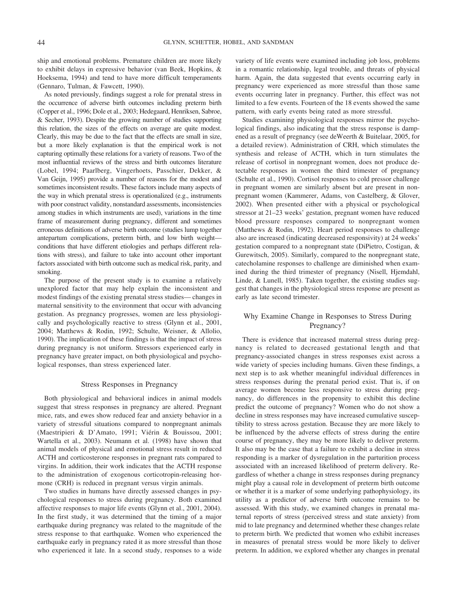ship and emotional problems. Premature children are more likely to exhibit delays in expressive behavior (van Beek, Hopkins, & Hoeksema, 1994) and tend to have more difficult temperaments (Gennaro, Tulman, & Fawcett, 1990).

As noted previously, findings suggest a role for prenatal stress in the occurrence of adverse birth outcomes including preterm birth (Copper et al., 1996; Dole et al., 2003; Hedegaard, Henriksen, Sabroe, & Secher, 1993). Despite the growing number of studies supporting this relation, the sizes of the effects on average are quite modest. Clearly, this may be due to the fact that the effects are small in size, but a more likely explanation is that the empirical work is not capturing optimally these relations for a variety of reasons. Two of the most influential reviews of the stress and birth outcomes literature (Lobel, 1994; Paarlberg, Vingerhoets, Passchier, Dekker, & Van Geijn, 1995) provide a number of reasons for the modest and sometimes inconsistent results. These factors include many aspects of the way in which prenatal stress is operationalized (e.g., instruments with poor construct validity, nonstandard assessments, inconsistencies among studies in which instruments are used), variations in the time frame of measurement during pregnancy, different and sometimes erroneous definitions of adverse birth outcome (studies lump together antepartum complications, preterm birth, and low birth weight conditions that have different etiologies and perhaps different relations with stress), and failure to take into account other important factors associated with birth outcome such as medical risk, parity, and smoking.

The purpose of the present study is to examine a relatively unexplored factor that may help explain the inconsistent and modest findings of the existing prenatal stress studies— changes in maternal sensitivity to the environment that occur with advancing gestation. As pregnancy progresses, women are less physiologically and psychologically reactive to stress (Glynn et al., 2001, 2004; Matthews & Rodin, 1992; Schulte, Weisner, & Allolio, 1990). The implication of these findings is that the impact of stress during pregnancy is not uniform. Stressors experienced early in pregnancy have greater impact, on both physiological and psychological responses, than stress experienced later.

## Stress Responses in Pregnancy

Both physiological and behavioral indices in animal models suggest that stress responses in pregnancy are altered. Pregnant mice, rats, and ewes show reduced fear and anxiety behavior in a variety of stressful situations compared to nonpregnant animals (Maestripieri & D'Amato, 1991; Viérin & Bouissou, 2001; Wartella et al., 2003). Neumann et al. (1998) have shown that animal models of physical and emotional stress result in reduced ACTH and corticosterone responses in pregnant rats compared to virgins. In addition, their work indicates that the ACTH response to the administration of exogenous corticotropin-releasing hormone (CRH) is reduced in pregnant versus virgin animals.

Two studies in humans have directly assessed changes in psychological responses to stress during pregnancy. Both examined affective responses to major life events (Glynn et al., 2001, 2004). In the first study, it was determined that the timing of a major earthquake during pregnancy was related to the magnitude of the stress response to that earthquake. Women who experienced the earthquake early in pregnancy rated it as more stressful than those who experienced it late. In a second study, responses to a wide variety of life events were examined including job loss, problems in a romantic relationship, legal trouble, and threats of physical harm. Again, the data suggested that events occurring early in pregnancy were experienced as more stressful than those same events occurring later in pregnancy. Further, this effect was not limited to a few events. Fourteen of the 18 events showed the same pattern, with early events being rated as more stressful.

Studies examining physiological responses mirror the psychological findings, also indicating that the stress response is dampened as a result of pregnancy (see deWeerth & Buitelaar, 2005, for a detailed review). Administration of CRH, which stimulates the synthesis and release of ACTH, which in turn stimulates the release of cortisol in nonpregnant women, does not produce detectable responses in women the third trimester of pregnancy (Schulte et al., 1990). Cortisol responses to cold pressor challenge in pregnant women are similarly absent but are present in nonpregnant women (Kammerer, Adams, von Castelberg, & Glover, 2002). When presented either with a physical or psychological stressor at 21–23 weeks' gestation, pregnant women have reduced blood pressure responses compared to nonpregnant women (Matthews & Rodin, 1992). Heart period responses to challenge also are increased (indicating decreased responsivity) at 24 weeks' gestation compared to a nonpregnant state (DiPietro, Costigan, & Gurewitsch, 2005). Similarly, compared to the nonpregnant state, catecholamine responses to challenge are diminished when examined during the third trimester of pregnancy (Nisell, Hjemdahl, Linde, & Lunell, 1985). Taken together, the existing studies suggest that changes in the physiological stress response are present as early as late second trimester.

# Why Examine Change in Responses to Stress During Pregnancy?

There is evidence that increased maternal stress during pregnancy is related to decreased gestational length and that pregnancy-associated changes in stress responses exist across a wide variety of species including humans. Given these findings, a next step is to ask whether meaningful individual differences in stress responses during the prenatal period exist. That is, if on average women become less responsive to stress during pregnancy, do differences in the propensity to exhibit this decline predict the outcome of pregnancy? Women who do not show a decline in stress responses may have increased cumulative susceptibility to stress across gestation. Because they are more likely to be influenced by the adverse effects of stress during the entire course of pregnancy, they may be more likely to deliver preterm. It also may be the case that a failure to exhibit a decline in stress responding is a marker of dysregulation in the parturition process associated with an increased likelihood of preterm delivery. Regardless of whether a change in stress responses during pregnancy might play a causal role in development of preterm birth outcome or whether it is a marker of some underlying pathophysiology, its utility as a predictor of adverse birth outcome remains to be assessed. With this study, we examined changes in prenatal maternal reports of stress (perceived stress and state anxiety) from mid to late pregnancy and determined whether these changes relate to preterm birth. We predicted that women who exhibit increases in measures of prenatal stress would be more likely to deliver preterm. In addition, we explored whether any changes in prenatal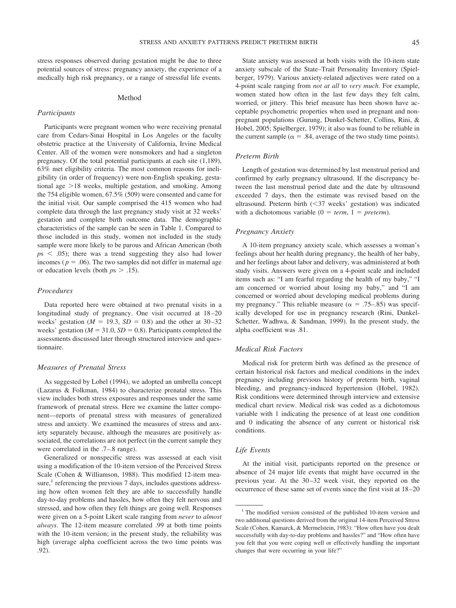stress responses observed during gestation might be due to three potential sources of stress: pregnancy anxiety, the experience of a medically high risk pregnancy, or a range of stressful life events.

## Method

#### *Participants*

Participants were pregnant women who were receiving prenatal care from Cedars-Sinai Hospital in Los Angeles or the faculty obstetric practice at the University of California, Irvine Medical Center. All of the women were nonsmokers and had a singleton pregnancy. Of the total potential participants at each site (1,189), 63% met eligibility criteria. The most common reasons for ineligibility (in order of frequency) were non-English speaking, gestational age >18 weeks, multiple gestation, and smoking. Among the 754 eligible women, 67.5% (509) were consented and came for the initial visit. Our sample comprised the 415 women who had complete data through the last pregnancy study visit at 32 weeks' gestation and complete birth outcome data. The demographic characteristics of the sample can be seen in Table 1. Compared to those included in this study, women not included in the study sample were more likely to be parous and African American (both  $p<sub>5</sub>$  (05); there was a trend suggesting they also had lower incomes ( $p = .06$ ). The two samples did not differ in maternal age or education levels (both  $ps > .15$ ).

## *Procedures*

Data reported here were obtained at two prenatal visits in a longitudinal study of pregnancy. One visit occurred at  $18-20$ weeks' gestation ( $M = 19.3$ ,  $SD = 0.8$ ) and the other at 30–32 weeks' gestation ( $M = 31.0$ ,  $SD = 0.8$ ). Participants completed the assessments discussed later through structured interview and questionnaire.

## *Measures of Prenatal Stress*

As suggested by Lobel (1994), we adopted an umbrella concept (Lazarus & Folkman, 1984) to characterize prenatal stress. This view includes both stress exposures and responses under the same framework of prenatal stress. Here we examine the latter component—reports of prenatal stress with measures of generalized stress and anxiety. We examined the measures of stress and anxiety separately because, although the measures are positively associated, the correlations are not perfect (in the current sample they were correlated in the .7–.8 range).

Generalized or nonspecific stress was assessed at each visit using a modification of the 10-item version of the Perceived Stress Scale (Cohen & Williamson, 1988). This modified 12-item measure, $<sup>1</sup>$  referencing the previous 7 days, includes questions address-</sup> ing how often women felt they are able to successfully handle day-to-day problems and hassles, how often they felt nervous and stressed, and how often they felt things are going well. Responses were given on a 5-point Likert scale ranging from *never* to *almost always*. The 12-item measure correlated .99 at both time points with the 10-item version; in the present study, the reliability was high (average alpha coefficient across the two time points was .92).

State anxiety was assessed at both visits with the 10-item state anxiety subscale of the State–Trait Personality Inventory (Spielberger, 1979). Various anxiety-related adjectives were rated on a 4-point scale ranging from *not at all* to *very much*. For example, women stated how often in the last few days they felt calm, worried, or jittery. This brief measure has been shown have acceptable psychometric properties when used in pregnant and nonpregnant populations (Gurung, Dunkel-Schetter, Collins, Rini, & Hobel, 2005; Spielberger, 1979); it also was found to be reliable in the current sample ( $\alpha = .84$ , average of the two study time points).

### *Preterm Birth*

Length of gestation was determined by last menstrual period and confirmed by early pregnancy ultrasound. If the discrepancy between the last menstrual period date and the date by ultrasound exceeded 7 days, then the estimate was revised based on the ultrasound. Preterm birth  $(*37* weeks' gestation) was indicated$ with a dichotomous variable ( $0 = term$ ,  $1 = preferm$ ).

### *Pregnancy Anxiety*

A 10-item pregnancy anxiety scale, which assesses a woman's feelings about her health during pregnancy, the health of her baby, and her feelings about labor and delivery, was administered at both study visits. Answers were given on a 4-point scale and included items such as: "I am fearful regarding the health of my baby," "I am concerned or worried about losing my baby," and "I am concerned or worried about developing medical problems during my pregnancy." This reliable measure ( $\alpha = .75-.85$ ) was specifically developed for use in pregnancy research (Rini, Dunkel-Schetter, Wadhwa, & Sandman, 1999). In the present study, the alpha coefficient was .81.

### *Medical Risk Factors*

Medical risk for preterm birth was defined as the presence of certain historical risk factors and medical conditions in the index pregnancy including previous history of preterm birth, vaginal bleeding, and pregnancy-induced hypertension (Hobel, 1982). Risk conditions were determined through interview and extensive medical chart review. Medical risk was coded as a dichotomous variable with 1 indicating the presence of at least one condition and 0 indicating the absence of any current or historical risk conditions.

## *Life Events*

At the initial visit, participants reported on the presence or absence of 24 major life events that might have occurred in the previous year. At the 30 –32 week visit, they reported on the occurrence of these same set of events since the first visit at 18 –20

<sup>&</sup>lt;sup>1</sup> The modified version consisted of the published 10-item version and two additional questions derived from the original 14-item Perceived Stress Scale (Cohen, Kamarck, & Mermelstein, 1983): "How often have you dealt successfully with day-to-day problems and hassles?" and "How often have you felt that you were coping well or effectively handling the important changes that were occurring in your life?"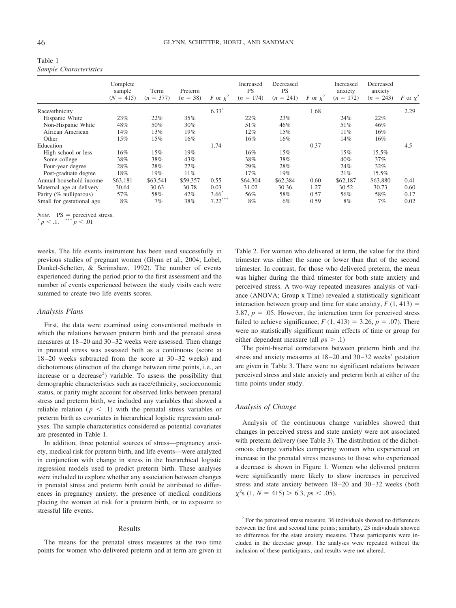| Table 1 |                        |
|---------|------------------------|
|         | Sample Characteristics |

|                           | Complete<br>sample<br>$(N = 415)$ | Term<br>377)<br>$(n =$ | Preterm<br>$(n = 38)$ | F or $\chi^2$ | Increased<br><b>PS</b><br>$(n = 174)$ | Decreased<br><b>PS</b><br>$(n = 241)$ | F or $\chi^2$ | Increased<br>anxiety<br>$(n = 172)$ | Decreased<br>anxiety<br>$(n = 243)$ | F or $\chi^2$ |
|---------------------------|-----------------------------------|------------------------|-----------------------|---------------|---------------------------------------|---------------------------------------|---------------|-------------------------------------|-------------------------------------|---------------|
| Race/ethnicity            |                                   |                        |                       | $6.33^*$      |                                       |                                       | 1.68          |                                     |                                     | 2.29          |
| Hispanic White            | 23%                               | 22%                    | 35%                   |               | 22%                                   | 23%                                   |               | 24%                                 | 22%                                 |               |
| Non-Hispanic White        | 48%                               | 50%                    | 30%                   |               | 51%                                   | 46%                                   |               | 51%                                 | 46%                                 |               |
| African American          | 14%                               | 13%                    | 19%                   |               | 12%                                   | 15%                                   |               | 11%                                 | 16%                                 |               |
| Other                     | 15%                               | 15%                    | 16%                   |               | 16%                                   | 16%                                   |               | 14%                                 | 16%                                 |               |
| Education                 |                                   |                        |                       | 1.74          |                                       |                                       | 0.37          |                                     |                                     | 4.5           |
| High school or less       | 16%                               | 15%                    | 19%                   |               | 16%                                   | 15%                                   |               | 15%                                 | 15.5%                               |               |
| Some college              | 38%                               | 38%                    | 43%                   |               | 38%                                   | 38%                                   |               | 40%                                 | 37%                                 |               |
| Four-year degree          | 28%                               | 28%                    | 27%                   |               | 29%                                   | 28%                                   |               | 24%                                 | 32%                                 |               |
| Post-graduate degree      | 18%                               | 19%                    | 11%                   |               | 17%                                   | 19%                                   |               | 21%                                 | 15.5%                               |               |
| Annual household income   | \$63,181                          | \$63,541               | \$59,357              | 0.55          | \$64,304                              | \$62,384                              | 0.60          | \$62,187                            | \$63,880                            | 0.41          |
| Maternal age at delivery  | 30.64                             | 30.63                  | 30.78                 | 0.03          | 31.02                                 | 30.36                                 | 1.27          | 30.52                               | 30.73                               | 0.60          |
| Parity (% nulliparous)    | 57%                               | 58%                    | 42%                   | $3.66*$       | 56%                                   | 58%                                   | 0.57          | 56%                                 | 58%                                 | 0.17          |
| Small for gestational age | 8%                                | 7%                     | 38%                   | $7.22***$     | 8%                                    | 6%                                    | 0.59          | 8%                                  | 7%                                  | 0.02          |

*Note.* PS = perceived stress.<br>\*  $p < .1$ . \*\*\*  $p < .01$ 

weeks. The life events instrument has been used successfully in previous studies of pregnant women (Glynn et al., 2004; Lobel, Dunkel-Schetter, & Scrimshaw, 1992). The number of events experienced during the period prior to the first assessment and the number of events experienced between the study visits each were summed to create two life events scores.

### *Analysis Plans*

First, the data were examined using conventional methods in which the relations between preterm birth and the prenatal stress measures at 18 –20 and 30 –32 weeks were assessed. Then change in prenatal stress was assessed both as a continuous (score at 18 –20 weeks subtracted from the score at 30 –32 weeks) and dichotomous (direction of the change between time points, i.e., an increase or a decrease<sup>2</sup>) variable. To assess the possibility that demographic characteristics such as race/ethnicity, socioeconomic status, or parity might account for observed links between prenatal stress and preterm birth, we included any variables that showed a reliable relation ( $p \leq .1$ ) with the prenatal stress variables or preterm birth as covariates in hierarchical logistic regression analyses. The sample characteristics considered as potential covariates are presented in Table 1.

In addition, three potential sources of stress—pregnancy anxiety, medical risk for preterm birth, and life events—were analyzed in conjunction with change in stress in the hierarchical logistic regression models used to predict preterm birth. These analyses were included to explore whether any association between changes in prenatal stress and preterm birth could be attributed to differences in pregnancy anxiety, the presence of medical conditions placing the woman at risk for a preterm birth, or to exposure to stressful life events.

#### Results

The means for the prenatal stress measures at the two time points for women who delivered preterm and at term are given in Table 2. For women who delivered at term, the value for the third trimester was either the same or lower than that of the second trimester. In contrast, for those who delivered preterm, the mean was higher during the third trimester for both state anxiety and perceived stress. A two-way repeated measures analysis of variance (ANOVA; Group x Time) revealed a statistically significant interaction between group and time for state anxiety,  $F(1, 413) =$ 3.87,  $p = .05$ . However, the interaction term for perceived stress failed to achieve significance,  $F(1, 413) = 3.26$ ,  $p = .07$ ). There were no statistically significant main effects of time or group for either dependent measure (all  $ps > .1$ )

The point-biserial correlations between preterm birth and the stress and anxiety measures at 18 –20 and 30 –32 weeks' gestation are given in Table 3. There were no significant relations between perceived stress and state anxiety and preterm birth at either of the time points under study.

### *Analysis of Change*

Analysis of the continuous change variables showed that changes in perceived stress and state anxiety were not associated with preterm delivery (see Table 3). The distribution of the dichotomous change variables comparing women who experienced an increase in the prenatal stress measures to those who experienced a decrease is shown in Figure 1. Women who delivered preterm were significantly more likely to show increases in perceived stress and state anxiety between 18 –20 and 30 –32 weeks (both  $\chi^2$ s (1, *N* = 415) > 6.3, *p*s < .05).

 $2$  For the perceived stress measure, 36 individuals showed no differences between the first and second time points; similarly, 23 individuals showed no difference for the state anxiety measure. These participants were included in the decrease group. The analyses were repeated without the inclusion of these participants, and results were not altered.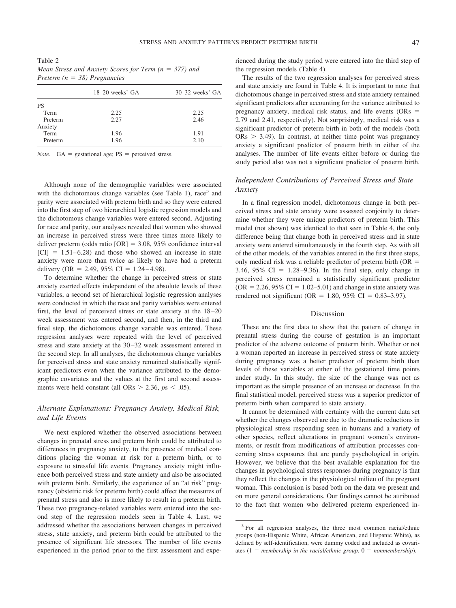Table 2 *Mean Stress and Anxiety Scores for Term (n 377) and Preterm (n 38) Pregnancies*

|           | $18-20$ weeks' GA | $30-32$ weeks' GA |  |  |
|-----------|-------------------|-------------------|--|--|
| <b>PS</b> |                   |                   |  |  |
| Term      | 2.25              | 2.25              |  |  |
| Preterm   | 2.27              | 2.46              |  |  |
| Anxiety   |                   |                   |  |  |
| Term      | 1.96              | 1.91              |  |  |
| Preterm   | 1.96              | 2.10              |  |  |

*Note.*  $GA =$  gestational age;  $PS =$  perceived stress.

Although none of the demographic variables were associated with the dichotomous change variables (see Table 1), race<sup>3</sup> and parity were associated with preterm birth and so they were entered into the first step of two hierarchical logistic regression models and the dichotomous change variables were entered second. Adjusting for race and parity, our analyses revealed that women who showed an increase in perceived stress were three times more likely to deliver preterm (odds ratio  $[OR] = 3.08, 95\%$  confidence interval  $[CI] = 1.51-6.28$  and those who showed an increase in state anxiety were more than twice as likely to have had a preterm delivery (OR = 2.49, 95% CI = 1.24 – 4.98).

To determine whether the change in perceived stress or state anxiety exerted effects independent of the absolute levels of these variables, a second set of hierarchical logistic regression analyses were conducted in which the race and parity variables were entered first, the level of perceived stress or state anxiety at the 18 –20 week assessment was entered second, and then, in the third and final step, the dichotomous change variable was entered. These regression analyses were repeated with the level of perceived stress and state anxiety at the 30 –32 week assessment entered in the second step. In all analyses, the dichotomous change variables for perceived stress and state anxiety remained statistically significant predictors even when the variance attributed to the demographic covariates and the values at the first and second assessments were held constant (all  $ORs > 2.36$ ,  $ps < .05$ ).

# *Alternate Explanations: Pregnancy Anxiety, Medical Risk, and Life Events*

We next explored whether the observed associations between changes in prenatal stress and preterm birth could be attributed to differences in pregnancy anxiety, to the presence of medical conditions placing the woman at risk for a preterm birth, or to exposure to stressful life events. Pregnancy anxiety might influence both perceived stress and state anxiety and also be associated with preterm birth. Similarly, the experience of an "at risk" pregnancy (obstetric risk for preterm birth) could affect the measures of prenatal stress and also is more likely to result in a preterm birth. These two pregnancy-related variables were entered into the second step of the regression models seen in Table 4. Last, we addressed whether the associations between changes in perceived stress, state anxiety, and preterm birth could be attributed to the presence of significant life stressors. The number of life events experienced in the period prior to the first assessment and experienced during the study period were entered into the third step of the regression models (Table 4).

The results of the two regression analyses for perceived stress and state anxiety are found in Table 4. It is important to note that dichotomous change in perceived stress and state anxiety remained significant predictors after accounting for the variance attributed to pregnancy anxiety, medical risk status, and life events (ORs 2.79 and 2.41, respectively). Not surprisingly, medical risk was a significant predictor of preterm birth in both of the models (both  $ORs > 3.49$ ). In contrast, at neither time point was pregnancy anxiety a significant predictor of preterm birth in either of the analyses. The number of life events either before or during the study period also was not a significant predictor of preterm birth.

## *Independent Contributions of Perceived Stress and State Anxiety*

In a final regression model, dichotomous change in both perceived stress and state anxiety were assessed conjointly to determine whether they were unique predictors of preterm birth. This model (not shown) was identical to that seen in Table 4, the only difference being that change both in perceived stress and in state anxiety were entered simultaneously in the fourth step. As with all of the other models, of the variables entered in the first three steps, only medical risk was a reliable predictor of preterm birth  $(OR =$ 3.46, 95% CI =  $1.28 - 9.36$ ). In the final step, only change in perceived stress remained a statistically significant predictor  $(OR = 2.26, 95\% \text{ CI} = 1.02-5.01)$  and change in state anxiety was rendered not significant (OR =  $1.80, 95\%$  CI =  $0.83-3.97$ ).

#### Discussion

These are the first data to show that the pattern of change in prenatal stress during the course of gestation is an important predictor of the adverse outcome of preterm birth. Whether or not a woman reported an increase in perceived stress or state anxiety during pregnancy was a better predictor of preterm birth than levels of these variables at either of the gestational time points under study. In this study, the size of the change was not as important as the simple presence of an increase or decrease. In the final statistical model, perceived stress was a superior predictor of preterm birth when compared to state anxiety.

It cannot be determined with certainty with the current data set whether the changes observed are due to the dramatic reductions in physiological stress responding seen in humans and a variety of other species, reflect alterations in pregnant women's environments, or result from modifications of attribution processes concerning stress exposures that are purely psychological in origin. However, we believe that the best available explanation for the changes in psychological stress responses during pregnancy is that they reflect the changes in the physiological milieu of the pregnant woman. This conclusion is based both on the data we present and on more general considerations. Our findings cannot be attributed to the fact that women who delivered preterm experienced in-

<sup>3</sup> For all regression analyses, the three most common racial/ethnic groups (non-Hispanic White, African American, and Hispanic White), as defined by self-identification, were dummy coded and included as covariates  $(1 =$  *membership in the racial/ethnic group*,  $0 =$  *nonmembership* $)$ .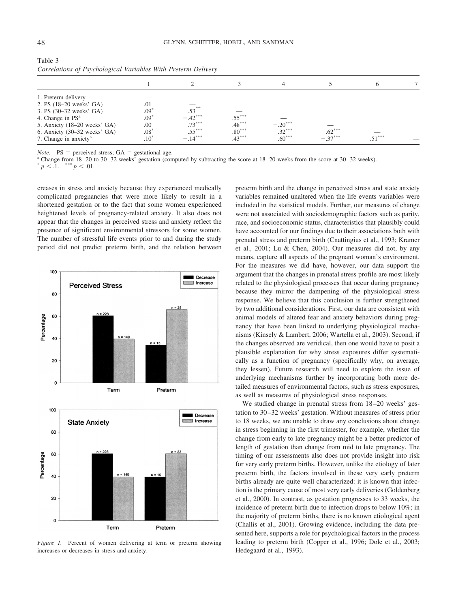| 1. Preterm delivery<br>2. PS (18–20 weeks' GA)<br>3. PS (30–32 weeks' GA)<br>4. Change in $PSa$<br>5. Anxiety (18–20 weeks' GA)<br>6. Anxiety $(30-32$ weeks' GA)<br>7. Change in anxiety <sup>a</sup> | .01<br>$.09^{\degree}$<br>.09°<br>.00<br>.08<br>$.10^{\circ}$ | 888<br>.53<br>$-.42***$<br>$.73***$<br>$.55***$<br>$-.14***$ | $.55***$<br>$.48***$<br>$.80***$<br>$.43***$ | $-.20***$<br>$.32***$<br>$.60***$ | __<br>$.62***$<br>$-.37***$ | $.51***$ |  |
|--------------------------------------------------------------------------------------------------------------------------------------------------------------------------------------------------------|---------------------------------------------------------------|--------------------------------------------------------------|----------------------------------------------|-----------------------------------|-----------------------------|----------|--|

Table 3 *Correlations of Psychological Variables With Preterm Delivery*

*Note.* PS = perceived stress; GA = gestational age.<br><sup>a</sup> Change from 18-20 to 30-32 weeks' gestation (computed by subtracting the score at 18-20 weeks from the score at 30-32 weeks).

 $p < 0.1.$  \*\*\*  $p < 0.01.$ 

creases in stress and anxiety because they experienced medically complicated pregnancies that were more likely to result in a shortened gestation or to the fact that some women experienced heightened levels of pregnancy-related anxiety. It also does not appear that the changes in perceived stress and anxiety reflect the presence of significant environmental stressors for some women. The number of stressful life events prior to and during the study period did not predict preterm birth, and the relation between



*Figure 1.* Percent of women delivering at term or preterm showing increases or decreases in stress and anxiety.

preterm birth and the change in perceived stress and state anxiety variables remained unaltered when the life events variables were included in the statistical models. Further, our measures of change were not associated with sociodemographic factors such as parity, race, and socioeconomic status, characteristics that plausibly could have accounted for our findings due to their associations both with prenatal stress and preterm birth (Cnattingius et al., 1993; Kramer et al., 2001; Lu & Chen, 2004). Our measures did not, by any means, capture all aspects of the pregnant woman's environment. For the measures we did have, however, our data support the argument that the changes in prenatal stress profile are most likely related to the physiological processes that occur during pregnancy because they mirror the dampening of the physiological stress response. We believe that this conclusion is further strengthened by two additional considerations. First, our data are consistent with animal models of altered fear and anxiety behaviors during pregnancy that have been linked to underlying physiological mechanisms (Kinsely & Lambert, 2006; Wartella et al., 2003). Second, if the changes observed are veridical, then one would have to posit a plausible explanation for why stress exposures differ systematically as a function of pregnancy (specifically why, on average, they lessen). Future research will need to explore the issue of underlying mechanisms further by incorporating both more detailed measures of environmental factors, such as stress exposures, as well as measures of physiological stress responses.

We studied change in prenatal stress from  $18-20$  weeks' gestation to 30 –32 weeks' gestation. Without measures of stress prior to 18 weeks, we are unable to draw any conclusions about change in stress beginning in the first trimester, for example, whether the change from early to late pregnancy might be a better predictor of length of gestation than change from mid to late pregnancy. The timing of our assessments also does not provide insight into risk for very early preterm births. However, unlike the etiology of later preterm birth, the factors involved in these very early preterm births already are quite well characterized: it is known that infection is the primary cause of most very early deliveries (Goldenberg et al., 2000). In contrast, as gestation progresses to 33 weeks, the incidence of preterm birth due to infection drops to below 10%; in the majority of preterm births, there is no known etiological agent (Challis et al., 2001). Growing evidence, including the data presented here, supports a role for psychological factors in the process leading to preterm birth (Copper et al., 1996; Dole et al., 2003; Hedegaard et al., 1993).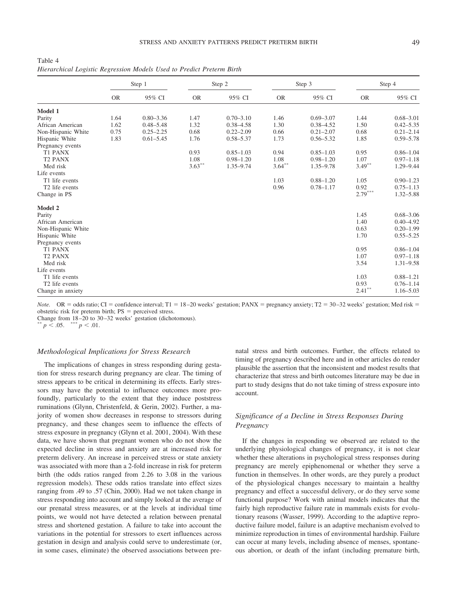| Table 4                                                               |  |  |  |  |
|-----------------------------------------------------------------------|--|--|--|--|
| Hierarchical Logistic Regression Models Used to Predict Preterm Birth |  |  |  |  |

|                            | Step 1    |               | Step 2    |               | Step 3    |               | Step 4    |               |
|----------------------------|-----------|---------------|-----------|---------------|-----------|---------------|-----------|---------------|
|                            | <b>OR</b> | 95% CI        | <b>OR</b> | 95% CI        | <b>OR</b> | 95% CI        | <b>OR</b> | 95% CI        |
| Model 1                    |           |               |           |               |           |               |           |               |
| Parity                     | 1.64      | $0.80 - 3.36$ | 1.47      | $0.70 - 3.10$ | 1.46      | $0.69 - 3.07$ | 1.44      | $0.68 - 3.01$ |
| African American           | 1.62      | $0.48 - 5.48$ | 1.32      | $0.38 - 4.58$ | 1.30      | $0.38 - 4.52$ | 1.50      | $0.42 - 5.35$ |
| Non-Hispanic White         | 0.75      | $0.25 - 2.25$ | 0.68      | $0.22 - 2.09$ | 0.66      | $0.21 - 2.07$ | 0.68      | $0.21 - 2.14$ |
| Hispanic White             | 1.83      | $0.61 - 5.45$ | 1.76      | $0.58 - 5.37$ | 1.73      | $0.56 - 5.32$ | 1.85      | $0.59 - 5.78$ |
| Pregnancy events           |           |               |           |               |           |               |           |               |
| T1 PANX                    |           |               | 0.93      | $0.85 - 1.03$ | 0.94      | $0.85 - 1.03$ | 0.95      | $0.86 - 1.04$ |
| <b>T2 PANX</b>             |           |               | 1.08      | $0.98 - 1.20$ | 1.08      | $0.98 - 1.20$ | 1.07      | $0.97 - 1.18$ |
| Med risk                   |           |               | $3.63***$ | $1.35 - 9.74$ | $3.64***$ | $1.35 - 9.78$ | $3.49***$ | 1.29-9.44     |
| Life events                |           |               |           |               |           |               |           |               |
| T1 life events             |           |               |           |               | 1.03      | $0.88 - 1.20$ | 1.05      | $0.90 - 1.23$ |
| T <sub>2</sub> life events |           |               |           |               | 0.96      | $0.78 - 1.17$ | 0.92      | $0.75 - 1.13$ |
| Change in PS               |           |               |           |               |           |               | $2.79***$ | $1.32 - 5.88$ |
| Model 2                    |           |               |           |               |           |               |           |               |
| Parity                     |           |               |           |               |           |               | 1.45      | $0.68 - 3.06$ |
| African American           |           |               |           |               |           |               | 1.40      | $0.40 - 4.92$ |
| Non-Hispanic White         |           |               |           |               |           |               | 0.63      | $0.20 - 1.99$ |
| Hispanic White             |           |               |           |               |           |               | 1.70      | $0.55 - 5.25$ |
| Pregnancy events           |           |               |           |               |           |               |           |               |
| T1 PANX                    |           |               |           |               |           |               | 0.95      | $0.86 - 1.04$ |
| <b>T2 PANX</b>             |           |               |           |               |           |               | 1.07      | $0.97 - 1.18$ |
| Med risk                   |           |               |           |               |           |               | 3.54      | $1.31 - 9.58$ |
| Life events                |           |               |           |               |           |               |           |               |
| T1 life events             |           |               |           |               |           |               | 1.03      | $0.88 - 1.21$ |
| T <sub>2</sub> life events |           |               |           |               |           |               | 0.93      | $0.76 - 1.14$ |
| Change in anxiety          |           |               |           |               |           |               | $2.41***$ | $1.16 - 5.03$ |

*Note.* OR = odds ratio; CI = confidence interval; T1 = 18-20 weeks' gestation; PANX = pregnancy anxiety; T2 = 30-32 weeks' gestation; Med risk = obstetric risk for preterm birth;  $PS$  = perceived stress.

Change from  $18-20$  to  $30-32$  weeks' gestation (dichotomous).

 $p < .05.$  \*\*\*  $p < .01.$ 

#### *Methodological Implications for Stress Research*

The implications of changes in stress responding during gestation for stress research during pregnancy are clear. The timing of stress appears to be critical in determining its effects. Early stressors may have the potential to influence outcomes more profoundly, particularly to the extent that they induce poststress ruminations (Glynn, Christenfeld, & Gerin, 2002). Further, a majority of women show decreases in response to stressors during pregnancy, and these changes seem to influence the effects of stress exposure in pregnancy (Glynn et al. 2001, 2004). With these data, we have shown that pregnant women who do not show the expected decline in stress and anxiety are at increased risk for preterm delivery. An increase in perceived stress or state anxiety was associated with more than a 2-fold increase in risk for preterm birth (the odds ratios ranged from 2.26 to 3.08 in the various regression models). These odds ratios translate into effect sizes ranging from .49 to .57 (Chin, 2000). Had we not taken change in stress responding into account and simply looked at the average of our prenatal stress measures, or at the levels at individual time points, we would not have detected a relation between prenatal stress and shortened gestation. A failure to take into account the variations in the potential for stressors to exert influences across gestation in design and analysis could serve to underestimate (or, in some cases, eliminate) the observed associations between prenatal stress and birth outcomes. Further, the effects related to timing of pregnancy described here and in other articles do render plausible the assertion that the inconsistent and modest results that characterize that stress and birth outcomes literature may be due in part to study designs that do not take timing of stress exposure into account.

# *Significance of a Decline in Stress Responses During Pregnancy*

If the changes in responding we observed are related to the underlying physiological changes of pregnancy, it is not clear whether these alterations in psychological stress responses during pregnancy are merely epiphenomenal or whether they serve a function in themselves. In other words, are they purely a product of the physiological changes necessary to maintain a healthy pregnancy and effect a successful delivery, or do they serve some functional purpose? Work with animal models indicates that the fairly high reproductive failure rate in mammals exists for evolutionary reasons (Wasser, 1999). According to the adaptive reproductive failure model, failure is an adaptive mechanism evolved to minimize reproduction in times of environmental hardship. Failure can occur at many levels, including absence of menses, spontaneous abortion, or death of the infant (including premature birth,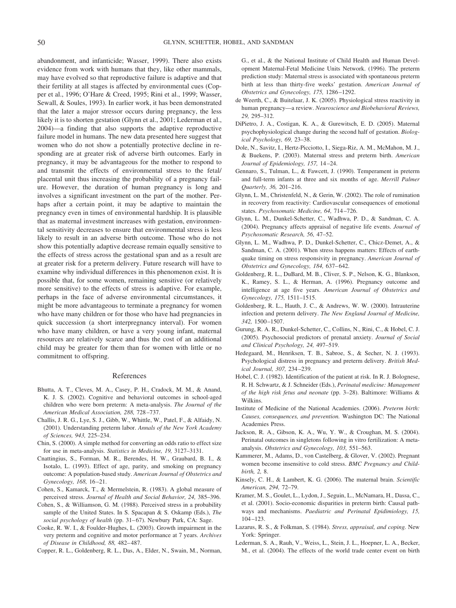abandonment, and infanticide; Wasser, 1999). There also exists evidence from work with humans that they, like other mammals, may have evolved so that reproductive failure is adaptive and that their fertility at all stages is affected by environmental cues (Copper et al., 1996; O'Hare & Creed, 1995; Rini et al., 1999; Wasser, Sewall, & Soules, 1993). In earlier work, it has been demonstrated that the later a major stressor occurs during pregnancy, the less likely it is to shorten gestation (Glynn et al., 2001; Lederman et al., 2004)—a finding that also supports the adaptive reproductive failure model in humans. The new data presented here suggest that women who do not show a potentially protective decline in responding are at greater risk of adverse birth outcomes. Early in pregnancy, it may be advantageous for the mother to respond to and transmit the effects of environmental stress to the fetal/ placental unit thus increasing the probability of a pregnancy failure. However, the duration of human pregnancy is long and involves a significant investment on the part of the mother. Perhaps after a certain point, it may be adaptive to maintain the pregnancy even in times of environmental hardship. It is plausible that as maternal investment increases with gestation, environmental sensitivity decreases to ensure that environmental stress is less likely to result in an adverse birth outcome. Those who do not show this potentially adaptive decrease remain equally sensitive to the effects of stress across the gestational span and as a result are at greater risk for a preterm delivery. Future research will have to examine why individual differences in this phenomenon exist. It is possible that, for some women, remaining sensitive (or relatively more sensitive) to the effects of stress is adaptive. For example, perhaps in the face of adverse environmental circumstances, it might be more advantageous to terminate a pregnancy for women who have many children or for those who have had pregnancies in quick succession (a short interpregnancy interval). For women who have many children, or have a very young infant, maternal resources are relatively scarce and thus the cost of an additional child may be greater for them than for women with little or no commitment to offspring.

#### References

- Bhutta, A. T., Cleves, M. A., Casey, P. H., Cradock, M. M., & Anand, K. J. S. (2002). Cognitive and behavioral outcomes in school-aged children who were born preterm: A meta-analysis. *The Journal of the American Medical Association, 288,* 728 –737.
- Challis, J. R. G., Lye, S. J., Gibb, W., Whittle, W., Patel, F., & Alfaidy, N. (2001). Understanding preterm labor. *Annals of the New York Academy of Sciences, 943,* 225–234.
- Chin, S. (2000). A simple method for converting an odds ratio to effect size for use in meta-analysis. *Statistics in Medicine, 19,* 3127–3131.
- Cnattingius, S., Forman, M. R., Berendes, H. W., Graubard, B. I., & Isotalo, L. (1993). Effect of age, parity, and smoking on pregnancy outcome: A population-based study. *American Journal of Obstetrics and Gynecology, 168,* 16 –21.
- Cohen, S., Kamarck, T., & Mermelstein, R. (1983). A global measure of perceived stress. *Journal of Health and Social Behavior, 24,* 385–396.
- Cohen, S., & Williamson, G. M. (1988). Perceived stress in a probability sample of the United States. In S. Spacapan & S. Oskamp (Eds.), *The* social psychology of health (pp. 31-67). Newbury Park, CA: Sage.
- Cooke, R. W. I., & Foulder-Hughes, L. (2003). Growth impairment in the very preterm and cognitive and motor performance at 7 years. *Archives of Disease in Childhood, 88,* 482– 487.

Copper, R. L., Goldenberg, R. L., Das, A., Elder, N., Swain, M., Norman,

G., et al., & the National Institute of Child Health and Human Development Maternal-Fetal Medicine Units Network. (1996). The preterm prediction study: Maternal stress is associated with spontaneous preterm birth at less than thirty-five weeks' gestation. *American Journal of Obstetrics and Gynecology, 175,* 1286 –1292.

- de Weerth, C., & Buitelaar, J. K. (2005). Physiological stress reactivity in human pregnancy—a review. *Neuroscience and Biobehavioral Reviews, 29,* 295–312.
- DiPietro, J. A., Costigan, K. A., & Gurewitsch, E. D. (2005). Maternal psychophysiological change during the second half of gestation. *Biological Psychology, 69,* 23–38.
- Dole, N., Savitz, I., Hertz-Picciotto, I., Siega-Riz, A. M., McMahon, M. J., & Buekens, P. (2003). Maternal stress and preterm birth. *American Journal of Epidemiology, 157,* 14 –24.
- Gennaro, S., Tulman, L., & Fawcett, J. (1990). Temperament in preterm and full-term infants at three and six months of age. *Merrill Palmer Quarterly, 36,* 201–216.
- Glynn, L. M., Christenfeld, N., & Gerin, W. (2002). The role of rumination in recovery from reactivity: Cardiovascular consequences of emotional states. *Psychosomatic Medicine, 64,* 714 –726.
- Glynn, L. M., Dunkel-Schetter, C., Wadhwa, P. D., & Sandman, C. A. (2004). Pregnancy affects appraisal of negative life events. *Journal of Psychosomatic Research, 56,* 47–52.
- Glynn, L. M., Wadhwa, P. D., Dunkel-Schetter, C., Chicz-Demet, A., & Sandman, C. A. (2001). When stress happens matters: Effects of earthquake timing on stress responsivity in pregnancy. *American Journal of Obstetrics and Gynecology, 184,* 637– 642.
- Goldenberg, R. L., DuBard, M. B., Cliver, S. P., Nelson, K. G., Blankson, K., Ramey, S. L., & Herman, A. (1996). Pregnancy outcome and intelligence at age five years. *American Journal of Obstetrics and Gynecology, 175,* 1511–1515.
- Goldenberg, R. L., Hauth, J. C., & Andrews, W. W. (2000). Intrauterine infection and preterm delivery. *The New England Journal of Medicine, 342,* 1500 –1507.
- Gurung, R. A. R., Dunkel-Schetter, C., Collins, N., Rini, C., & Hobel, C. J. (2005). Psychosocial predictors of prenatal anxiety. *Journal of Social and Clinical Psychology, 24,* 497–519.
- Hedegaard, M., Henriksen, T. B., Sabroe, S., & Secher, N. J. (1993). Psychological distress in pregnancy and preterm delivery. *British Medical Journal, 307,* 234 –239.
- Hobel, C. J. (1982). Identification of the patient at risk. In R. J. Bolognese, R. H. Schwartz, & J. Schneider (Eds.), *Perinatal medicine: Management of the high risk fetus and neonate* (pp. 3–28). Baltimore: Williams & Wilkins.
- Institute of Medicine of the National Academies. (2006). *Preterm birth: Causes, consequences, and prevention.* Washington DC: The National Academies Press.
- Jackson, R. A., Gibson, K. A., Wu, Y. W., & Croughan, M. S. (2004). Perinatal outcomes in singletons following in vitro fertilization: A metaanalysis. *Obstetrics and Gynecology, 103,* 551–563.
- Kammerer, M., Adams, D., von Castelberg, & Glover, V. (2002). Pregnant women become insensitive to cold stress. *BMC Pregnancy and Childbirth, 2,* 8.
- Kinsely, C. H., & Lambert, K. G. (2006). The maternal brain. *Scientific American, 294,* 72–79.
- Kramer, M. S., Goulet, L., Lydon, J., Seguin, L., McNamara, H., Dassa, C., et al. (2001). Socio-economic disparities in preterm birth: Causal pathways and mechanisms. *Paediatric and Perinatal Epidimiology, 15,* 104 –123.
- Lazarus, R. S., & Folkman, S. (1984). *Stress, appraisal, and coping.* New York: Springer.
- Lederman, S. A., Rauh, V., Weiss, L., Stein, J. L., Hoepner, L. A., Becker, M., et al. (2004). The effects of the world trade center event on birth